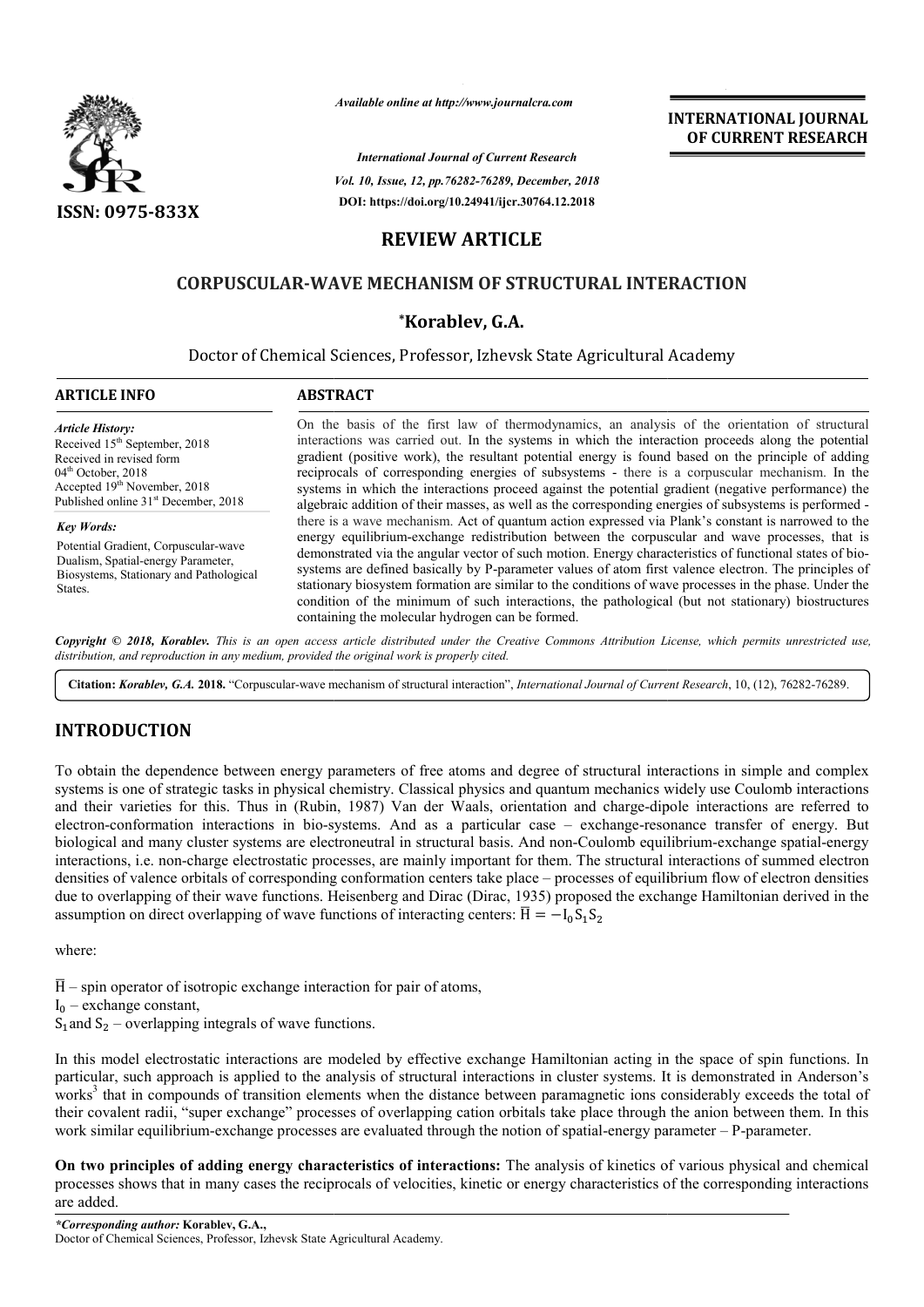

*Available online at http://www.journalcra.com*

*International Journal of Current Research Vol. 10, Issue, 12, pp.76282-76289, December, 2018* **DOI: https://doi.org/10.24941/ijcr.30764.12.2018**

**INTERNATIONAL JOURNAL OF CURRENT RESEARCH**

# **REVIEW ARTICLE**

# **CORPUSCULAR-WAVE MECHANISM OF STRUCTURAL INTERACTION WAVE \*Korablev, G.А. STRUCTURAL INTERACTION**

# Doctor of Chemical Sciences, Professor, Izhevsk State Agricultural Academy

### **ARTICLE INFO ABSTRACT**

*Article History:* Received 15<sup>th</sup> September, 2018 Received in revised form 04<sup>th</sup> October, 2018 Accepted 19<sup>th</sup> November, 2018 Published online 31<sup>st</sup> December, 2018

*Key Words:*

Potential Gradient, Corpuscular-wave Dualism, Spatial-energy Parameter, Biosystems, Stationary and Pathological States.

On the basis of the first law of thermodynamics, an analysis of the orientation of structural interactions was carried out. In the systems in which the interaction proceeds along the potential gradient (positive work), the resultant potential energy is found based on the principle of adding reciprocals of corresponding energies of subsystems - there is a corpuscular mechanism. systems in which the interactions proceed against the potential gradient (negative performance) the systems in which the interactions proceed against the potential gradient (negative performance) the algebraic addition of their masses, as well as the corresponding energies of subsystems is performed there is a wave mechanism. Act of quantum action expressed via Plank's constant is narrowed to the energy equilibrium-exchange redistribution between the corpuscular and wave processes, that is there is a wave mechanism. Act of quantum action expressed via Plank's constant is narrowed to the energy equilibrium-exchange redistribution between the corpuscular and wave processes, that is demonstrated via the angular systems are defined basically by P-parameter values of atom first valence electron. The principles of stationary biosystem formation are similar to the conditions of wave processes in the phase. Under the condition of the minimum of such interactions, the pathological (but not stationary) biostructures containing the molecular hydrogen can be formed. On the basis of the first law of thermodynamics, an analysis of the orientation of structural interactions was carried out. In the systems in which the interaction proceeds along the potential gradient (positive work), the systems are defined basically by P-parameter values of atom first valence electron. The principles of stationary biosystem formation are similar to the conditions of wave processes in the phase. Under the condition of the

Copyright © 2018, Korablev. This is an open access article distributed under the Creative Commons Attribution License, which permits unrestricted use, *distribution, and reproduction in any medium, provided the original work is properly cited.*

Citation: Korablev, G.A. 2018. "Corpuscular-wave mechanism of structural interaction", International Journal of Current Research, 10, (12), 76282-76289.

# **INTRODUCTION**

To obtain the dependence between energy parameters of free atoms and degree of structural interactions in simple and complex systems is one of strategic tasks in physical chemistry. Classical physics and quantum mechanics widely use Coulomb interactions and their varieties for this. Thus in (Rubin, 1987) Van der Waals, orientation and charge-dipole interactions are referred to electron-conformation interactions in bio-systems. And as a particular case – exchange-resonance transfer of energy. But biological and many cluster systems are electroneutral in structural basis. And non-Coulomb equilibrium interactions, i.e. non-charge electrostatic processes, are mainly important for them. The structural interactions of summed electron densities of valence orbitals of corresponding conformation centers take place – processes of equilibrium flow of electron densities due to overlapping of their wave functions. Heisenberg and Dirac (Dirac, 1935) proposed the exchange Hamiltonian derived in the assumption on direct overlapping of wave functions of interacting centers:  $\overline{H} = -I_0 S_1 S_2$ To obtain the dependence between energy parameters of free atoms and degree of structural interactions in simple and complex systems is one of strategic tasks in physical chemistry. Classical physics and quantum mechanics interactions, i.e. non-charge electrostatic processes, are mainly important for them. The structural interactions of summed electron<br>densities of valence orbitals of corresponding conformation centers take place – process

where:

 $\overline{H}$  – spin operator of isotropic exchange interaction for pair of atoms,

 $I_0$  – exchange constant,

 $S_1$  and  $S_2$  – overlapping integrals of wave functions.

In this model electrostatic interactions are modeled by effective exchange Hamiltonian acting in the space of spin functions. In particular, such approach is applied to the analysis of structural interactions in cluster systems. It is demonstrated in Anderson's particular, such approach is applied to the analysis of structural interactions in cluster systems. It is demonstrated in Anderson's<br>works<sup>3</sup> that in compounds of transition elements when the distance between paramagnetic their covalent radii, "super exchange" processes of overlapping cation orbitals take place through the anion between them. In this work similar equilibrium-exchange processes are evaluated through the notion of spatial-energy parameter – P-parameter.

On two principles of adding energy characteristics of interactions: The analysis of kinetics of various physical and chemical On two principles of adding energy characteristics of interactions: The analysis of kinetics of various physical and chemical<br>processes shows that in many cases the reciprocals of velocities, kinetic or energy characterist are added.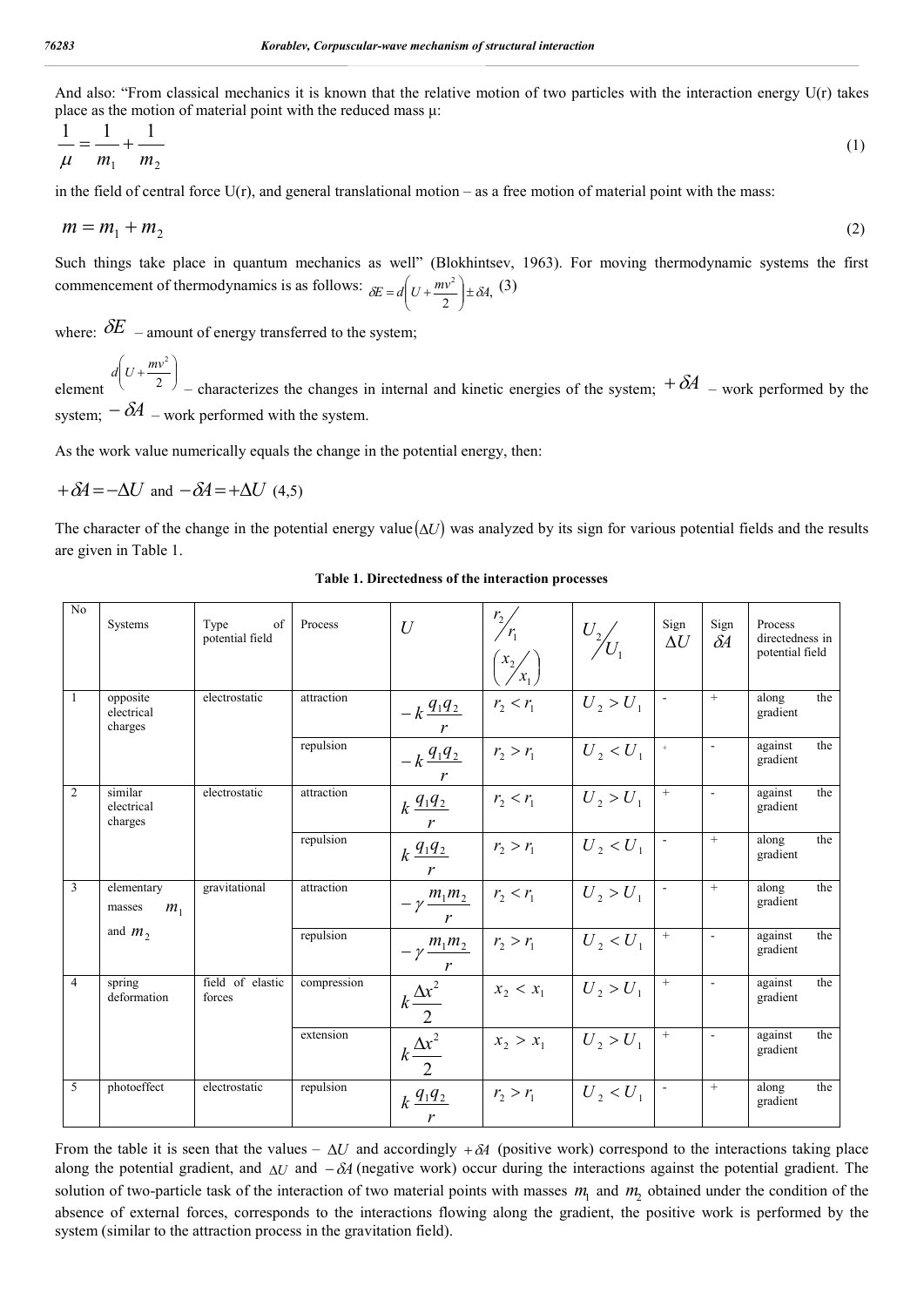And also: "From classical mechanics it is known that the relative motion of two particles with the interaction energy U(r) takes place as the motion of material point with the reduced mass μ:

$$
\frac{1}{\mu} = \frac{1}{m_1} + \frac{1}{m_2} \tag{1}
$$

in the field of central force  $U(r)$ , and general translational motion – as a free motion of material point with the mass:

$$
m = m_1 + m_2 \tag{2}
$$

Such things take place in quantum mechanics as well" (Blokhintsev, 1963). For moving thermodynamic systems the first commencement of thermodynamics is as follows:  $\delta E = d\left(U + \frac{mv^2}{2}\right) \pm \delta A$ ,  $\overline{\phantom{a}}$  $\mathcal{L}$ l  $\overline{\phantom{0}}$  $=d\left(U+\frac{mv^2}{2}\right)\pm\delta A,$  (3)

where:  $\delta E$  – amount of energy transferred to the system;

element  $\overline{\phantom{a}}$  $\bigg)$  $\mathcal{L}$ l  $d\left(U+\frac{mv^2}{2}\right)$ – characterizes the changes in internal and kinetic energies of the system;  $+\delta A$  – work performed by the system;  $-\delta A$  – work performed with the system.

As the work value numerically equals the change in the potential energy, then:

 $A + \delta A = -\Delta U$  and  $-\delta A = +\Delta U$  (4.5)

The character of the change in the potential energy value  $(\Delta U)$  was analyzed by its sign for various potential fields and the results are given in Table 1.

| N <sub>o</sub> | Systems                                | of<br>Type<br>potential field | Process     | U                                                     | $\frac{r_2}{r_1}$<br>$\binom{x_2}{x_1}$ | $U_2\!\!\left/\!\!\right. \!\!{\big/}_{\!\!\! 1}$ | Sign<br>$\Delta U$               | Sign<br>$\delta A$ | Process<br>directedness in<br>potential field |  |
|----------------|----------------------------------------|-------------------------------|-------------|-------------------------------------------------------|-----------------------------------------|---------------------------------------------------|----------------------------------|--------------------|-----------------------------------------------|--|
| 1              | opposite<br>electrical<br>charges      | electrostatic                 | attraction  | $-k \frac{q_1 q_2}{2}$                                | $r_2 < r_1$                             | $U_2 > U_1$                                       |                                  | $+$                | along<br>the<br>gradient                      |  |
|                |                                        |                               | repulsion   | $-k \frac{q_1 q_2}{q_1 q_2}$<br>$\mathbf{r}$          | $r_2 > r_1$                             | $U_2 < U_1$                                       |                                  | $\sim$             | against<br>the<br>gradient                    |  |
| $\overline{2}$ | similar<br>electrical<br>charges       | electrostatic                 | attraction  | $k \frac{q_1 q_2}{q_1 q_2}$                           | $r_2 < r_1$                             | $U_2 > U_1$                                       | $^{+}$                           | $\sim$             | against<br>the<br>gradient                    |  |
|                |                                        |                               | repulsion   | $k \frac{q_1 q_2}{q_1 q_2}$                           | $r_{2} > r_{1}$                         | $U_2 < U_1$                                       |                                  | $+$                | the<br>along<br>gradient                      |  |
| 3              | elementary<br>m <sub>1</sub><br>masses | gravitational                 | attraction  | $-\gamma \frac{m_1 m_2}{m_1 m_2}$                     | $r_2 < r_1$                             | $U_2 > U_1$                                       |                                  | $+$                | along<br>the<br>gradient                      |  |
|                | and $m_2$                              |                               | repulsion   | $-\gamma \frac{m_1 m_2}{m_1 m_2}$                     | $r_2 > r_1$                             | $U_2 < U_1$                                       | $\! + \!\!\!\!$                  |                    | against<br>the<br>gradient                    |  |
| $\overline{4}$ | spring<br>deformation                  | field of elastic<br>forces    | compression | $\frac{k\frac{\Delta x^2}{2}}{k\frac{\Delta x^2}{2}}$ | $x_2 < x_1$                             | $U_2 > U_1$                                       | $+$                              |                    | against<br>the<br>gradient                    |  |
|                |                                        |                               | extension   |                                                       | $x_2 > x_1$                             | $U_2 > U_1$                                       | $\begin{array}{c} + \end{array}$ | $\sim$             | against<br>the<br>gradient                    |  |
| 5              | photoeffect                            | electrostatic                 | repulsion   | $k \frac{q_1 q_2}{q_1 q_2}$<br>r                      | $r_2 > r_1$                             | $U_2 < U_1$                                       |                                  | $+$                | along<br>the<br>gradient                      |  |

**Table 1. Directedness of the interaction processes**

From the table it is seen that the values –  $\Delta U$  and accordingly +  $\delta A$  (positive work) correspond to the interactions taking place along the potential gradient, and  $\Delta U$  and  $-\delta A$  (negative work) occur during the interactions against the potential gradient. The solution of two-particle task of the interaction of two material points with masses  $m_1$  and  $m_2$  obtained under the condition of the absence of external forces, corresponds to the interactions flowing along the gradient, the positive work is performed by the system (similar to the attraction process in the gravitation field).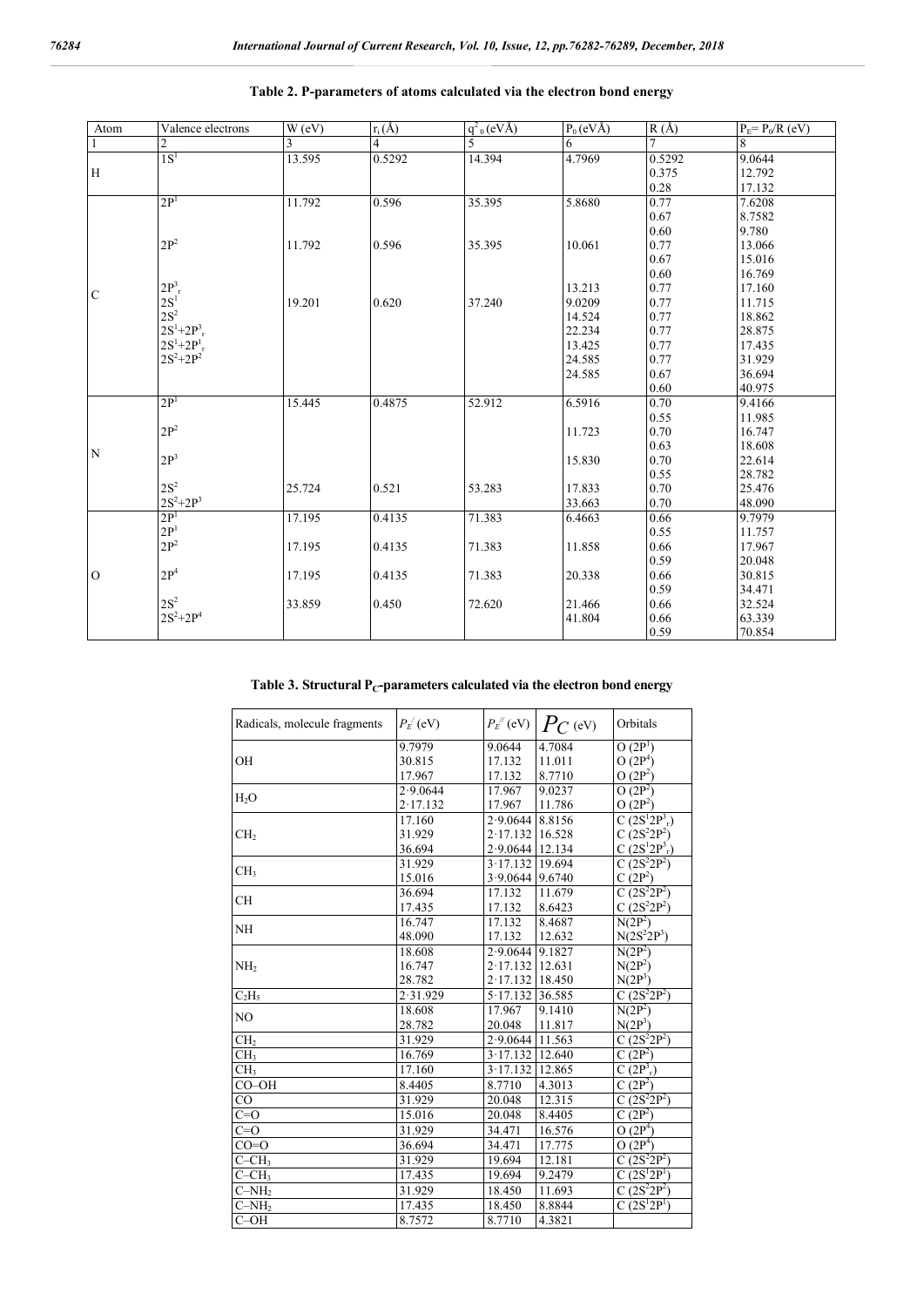| Atom           | Valence electrons  | W(eV)  | $r_i(\AA)$ | $q^2$ <sub>0</sub> (eVÅ) | $P_0$ (eVÅ) | R(A)   | $P_E = P_0 / R$ (eV) |
|----------------|--------------------|--------|------------|--------------------------|-------------|--------|----------------------|
| $\mathbf{1}$   | $\overline{2}$     | 3      | 4          | 5                        | 6           |        | 8                    |
|                | 1S <sup>1</sup>    | 13.595 | 0.5292     | 14.394                   | 4.7969      | 0.5292 | 9.0644               |
| H              |                    |        |            |                          |             | 0.375  | 12.792               |
|                |                    |        |            |                          |             | 0.28   | 17.132               |
|                | 2P <sup>1</sup>    | 11.792 | 0.596      | 35.395                   | 5.8680      | 0.77   | 7.6208               |
|                |                    |        |            |                          |             | 0.67   | 8.7582               |
|                |                    |        |            |                          |             | 0.60   | 9.780                |
|                | $2\mathbf{P}^2$    | 11.792 | 0.596      | 35.395                   | 10.061      | 0.77   | 13.066               |
|                |                    |        |            |                          |             | 0.67   | 15.016               |
|                |                    |        |            |                          |             | 0.60   | 16.769               |
| $\mathbf C$    | $2P_{r}^{3}$       |        |            |                          | 13.213      | 0.77   | 17.160               |
|                | $2S^1$             | 19.201 | 0.620      | 37.240                   | 9.0209      | 0.77   | 11.715               |
|                | $2S^2$             |        |            |                          | 14.524      | 0.77   | 18.862               |
|                | $2S^1 + 2P_T^3$    |        |            |                          | 22.234      | 0.77   | 28.875               |
|                | $2S^1 + 2P_{}^{1}$ |        |            |                          | 13.425      | 0.77   | 17.435               |
|                | $2S^2+2P^2$        |        |            |                          | 24.585      | 0.77   | 31.929               |
|                |                    |        |            |                          | 24.585      | 0.67   | 36.694               |
|                |                    |        |            |                          |             | 0.60   | 40.975               |
|                | 2P <sup>1</sup>    | 15.445 | 0.4875     | 52.912                   | 6.5916      | 0.70   | 9.4166               |
|                |                    |        |            |                          |             | 0.55   | 11.985               |
|                | $2P^2$             |        |            |                          | 11.723      | 0.70   | 16.747               |
| N              |                    |        |            |                          |             | 0.63   | 18.608               |
|                | 2P <sup>3</sup>    |        |            |                          | 15.830      | 0.70   | 22.614               |
|                |                    |        |            |                          |             | 0.55   | 28.782               |
|                | $2S^2$             | 25.724 | 0.521      | 53.283                   | 17.833      | 0.70   | 25.476               |
|                | $2S^2 + 2P^3$      |        |            |                          | 33.663      | 0.70   | 48.090               |
|                | 2P <sup>1</sup>    | 17.195 | 0.4135     | 71.383                   | 6.4663      | 0.66   | 9.7979               |
|                | 2P <sup>1</sup>    |        |            |                          |             | 0.55   | 11.757               |
|                | $2P^2$             | 17.195 | 0.4135     | 71.383                   | 11.858      | 0.66   | 17.967               |
| $\overline{O}$ |                    |        |            |                          |             | 0.59   | 20.048               |
|                | 2P <sup>4</sup>    | 17.195 | 0.4135     | 71.383                   | 20.338      | 0.66   | 30.815               |
|                |                    |        |            |                          |             | 0.59   | 34.471               |
|                | $2\mathrm{S}^2$    | 33.859 | 0.450      | 72.620                   | 21.466      | 0.66   | 32.524               |
|                | $2S^2 + 2P^4$      |        |            |                          | 41.804      | 0.66   | 63.339               |
|                |                    |        |            |                          |             | 0.59   | 70.854               |

## **Table 2. Р-parameters of atoms calculated via the electron bond energy**

Table 3. Structural P<sub>C</sub>-parameters calculated via the electron bond energy

| Radicals, molecule fragments | $P_{E}$ (eV)     |                   | $P_{E}$ <sup>"</sup> (eV) $ P_{C}$ (eV) | Orbitals                         |  |  |
|------------------------------|------------------|-------------------|-----------------------------------------|----------------------------------|--|--|
|                              | 9.7979           | 9.0644            | 4.7084                                  | O(2P <sup>1</sup> )              |  |  |
| OH                           | 30.815<br>17.132 |                   | 11.011                                  | O(2P <sup>4</sup> )              |  |  |
|                              | 17.967           | 17.132            | 8.7710                                  | $O(2P^2)$                        |  |  |
| H <sub>2</sub> O             | 2.9.0644         | 17.967            | 9.0237                                  | $O(2P^2)$                        |  |  |
|                              | 2.17.132         | 17.967            | 11.786                                  | O(2P <sup>2</sup> )              |  |  |
|                              | 17.160           | 2.9.0644          | 8.8156                                  | $C(2S^{1}2P_{r}^{3})$            |  |  |
| CH <sub>2</sub>              | 31.929           | 2.17.132          | 16.528                                  | C $(2S^2 2P^2)$                  |  |  |
|                              | 36.694           | 2.9.0644          | 12.134                                  | C $(2S^1 2P^3)$                  |  |  |
| CH <sub>3</sub>              | 31.929           | 3.17.132          | 19.694                                  | C $(2S^2 2P^2)$                  |  |  |
|                              | 15.016           | $3.9.0644$ 9.6740 |                                         | $C(2P^2)$                        |  |  |
| <b>CH</b>                    | 36.694           | 17.132            | 11.679                                  | C $(2S^2 2P^2)$                  |  |  |
|                              | 17.435           | 17.132            | 8.6423                                  | $C(2S^22P^2)$                    |  |  |
| <b>NH</b>                    | 16.747           | 17.132            | 8.4687                                  | N(2P <sup>2</sup> )              |  |  |
|                              | 48.090           | 17.132            | 12.632                                  | $N(2S^2 2P^3)$                   |  |  |
|                              | 18.608           | 2.9.0644          | 9.1827                                  | $N(2P^2)$                        |  |  |
| NH <sub>2</sub>              | 16.747           | 2.17.132          | 12.631                                  | $N(2P^2)$                        |  |  |
|                              | 28.782           | $2.17.132$ 18.450 |                                         | $N(2P^3)$                        |  |  |
| $C_2H_5$                     | 2.31.929         | $5.17.132$ 36.585 |                                         | C $(2S^2 2P^2)$                  |  |  |
| N <sub>O</sub>               | 18.608           | 17.967            | 9.1410                                  | $N(2P^2)$                        |  |  |
|                              | 28.782           | 20.048            | 11.817                                  | $N(2P^3)$                        |  |  |
| CH <sub>2</sub>              | 31.929           | 2.9.0644          | 11.563                                  | $C(2S^22P^2)$                    |  |  |
| CH <sub>3</sub>              | 16.769           | 3.17.132          | 12.640                                  | $\overline{C(2P^2)}$             |  |  |
| CH <sub>3</sub>              | 17.160           | 3.17.132          | 12.865                                  | C(2P <sup>3</sup> <sub>r</sub> ) |  |  |
| $CO-OH$                      | 8.4405           | 8.7710            | 4.3013                                  | $C(2P^2)$                        |  |  |
| CO                           | 31.929           | 20.048            | 12.315                                  | C $(2S^2 2P^2)$                  |  |  |
| $C=O$                        | 15.016           | 20.048            | 8.4405                                  | $C\overline{(2P^2)}$             |  |  |
| $C = O$                      | 31.929           | 34.471            | 16.576                                  | $O(2P^4)$                        |  |  |
| $CO = O$                     | 36.694           | 34.471            | 17.775                                  | $\overline{O(2P^4)}$             |  |  |
| $C - CH3$                    | 31.929           | 19.694            | 12.181                                  | C $(2S^2 2P^2)$                  |  |  |
| $C - CH3$                    | 17.435           | 19.694            | 9.2479                                  | $C$ $(2S^12P^1)$                 |  |  |
| $C-NH2$                      | 31.929           | 18.450            | 11.693                                  | C $(2S^2 2P^2)$                  |  |  |
| $C-NH2$                      | 17.435           | 18.450            | 8.8844                                  | $C(2S^{1}2P^{1})$                |  |  |
| $C-OH$                       | 8.7572           | 8.7710            | 4.3821                                  |                                  |  |  |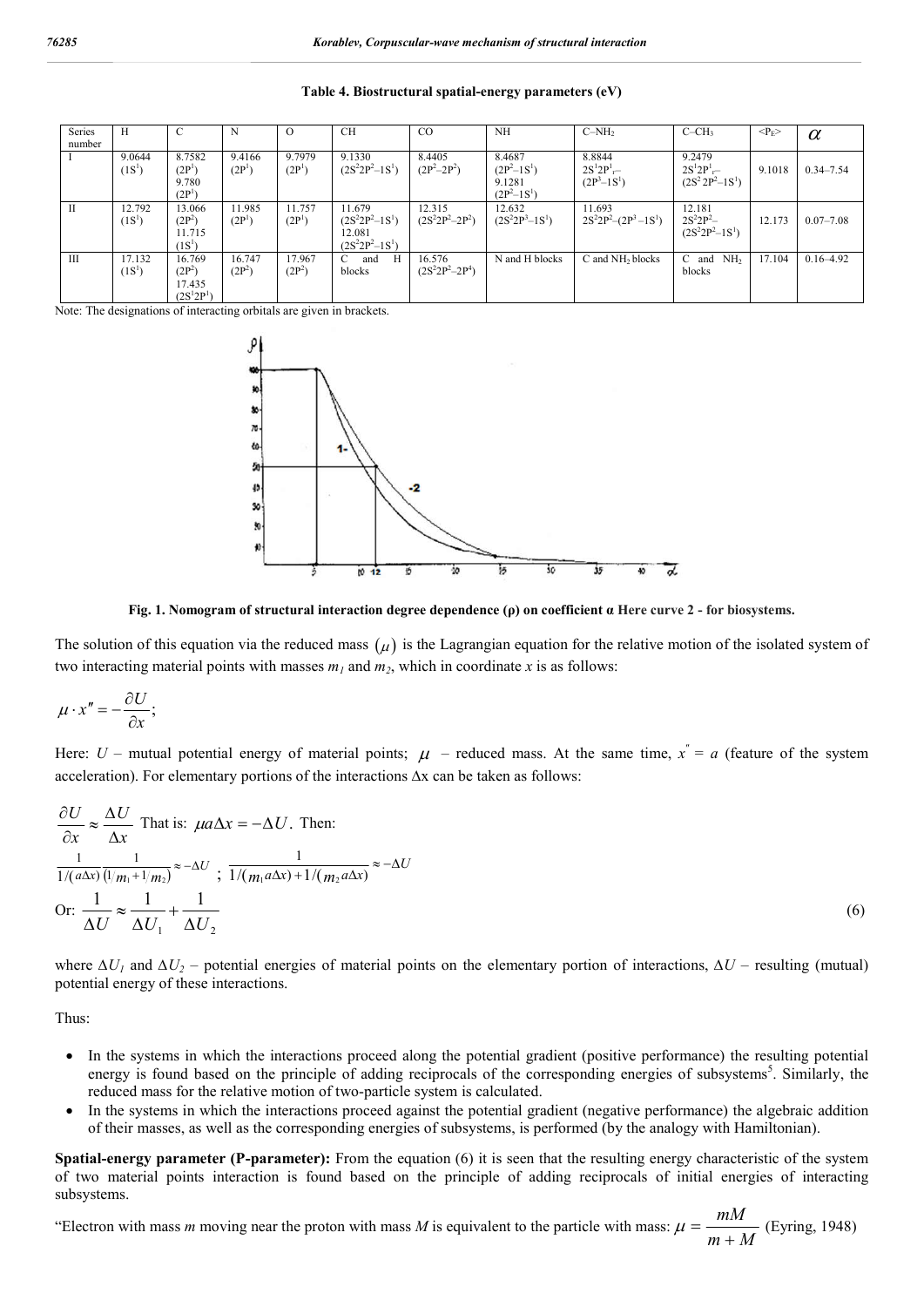| Series<br>number | Н                            | C                                                           | N                            | $\Omega$                     | <b>CH</b>                                                        | $_{\rm CO}$                   | <b>NH</b>                                          | $C-NH2$                                 | $C-CH3$                                        | $<\!\!P_F\!\!>$ | $\alpha$      |
|------------------|------------------------------|-------------------------------------------------------------|------------------------------|------------------------------|------------------------------------------------------------------|-------------------------------|----------------------------------------------------|-----------------------------------------|------------------------------------------------|-----------------|---------------|
|                  | 9.0644<br>(1S <sup>1</sup> ) | 8.7582<br>(2P <sup>1</sup> )<br>9.780<br>(2P <sup>1</sup> ) | 9.4166<br>(2P <sup>1</sup> ) | 9.7979<br>(2P <sup>1</sup> ) | 9.1330<br>$(2S^2 2P^2 - 1S^1)$                                   | 8.4405<br>$(2P^2-2P^2)$       | 8.4687<br>$(2P^2-1S^1)$<br>9.1281<br>$(2P^2-1S^1)$ | 8.8844<br>$2S^12P^1 -$<br>$(2P^3-1S^1)$ | 9.2479<br>$2S^12P^1 -$<br>$(2S^2 2P^2 - 1S^1)$ | 9.1018          | $0.34 - 7.54$ |
| $\mathbf{I}$     | 12.792<br>(1S <sup>1</sup> ) | 13.066<br>$(2P^2)$<br>11.715<br>(1S <sup>1</sup> )          | 11.985<br>(2P <sup>1</sup> ) | 11.757<br>(2P <sup>1</sup> ) | 11.679<br>$(2S^2 2P^2 - 1S^1)$<br>12.081<br>$(2S^2 2P^2 - 1S^1)$ | 12.315<br>$(2S^22P^2-2P^2)$   | 12.632<br>$(2S^2 2P^3 - 1S^1)$                     | 11.693<br>$2S^22P^2-(2P^3-1S^1)$        | 12.181<br>$2S^22P^2 -$<br>$(2S^2 2P^2 - 1S^1)$ | 12.173          | $0.07 - 7.08$ |
| Ш                | 17.132<br>(1S <sup>1</sup> ) | 16.769<br>$(2P^2)$<br>17.435<br>$(2S^12P^1)$                | 16.747<br>$(2P^2)$           | 17.967<br>$(2P^2)$           | and<br>Н<br>$\mathcal{C}^-$<br>blocks                            | 16.576<br>$(2S^22P^2 - 2P^4)$ | N and H blocks                                     | C and NH <sub>2</sub> blocks            | and NH <sub>2</sub><br>$\mathcal{C}$<br>blocks | 17.104          | $0.16 - 4.92$ |

**Table 4. Biostructural spatial-energy parameters (eV)**

Note: The designations of interacting orbitals are given in brackets.



**Fig. 1. Nomogram of structural interaction degree dependence (ρ) on coefficient α Here curve 2 - for biosystems.**

The solution of this equation via the reduced mass  $(\mu)$  is the Lagrangian equation for the relative motion of the isolated system of two interacting material points with masses  $m_1$  and  $m_2$ , which in coordinate x is as follows:

$$
\mu \cdot x'' = -\frac{\partial U}{\partial x};
$$

Here:  $U$  – mutual potential energy of material points;  $\mu$  – reduced mass. At the same time,  $x^r = a$  (feature of the system acceleration). For elementary portions of the interactions ∆х can be taken as follows:

$$
\frac{\partial U}{\partial x} \approx \frac{\Delta U}{\Delta x}
$$
 That is:  $\mu a \Delta x = -\Delta U$ . Then:  
\n
$$
\frac{1}{1/(a\Delta x)} \frac{1}{(l/m_1 + l/m_2)} \approx -\Delta U
$$
;  
\n
$$
\frac{1}{1/(m_1 + l/m_2)} \approx -\Delta U
$$
;  
\n
$$
\frac{1}{\Delta U} \approx \frac{1}{\Delta U_1} + \frac{1}{\Delta U_2}
$$
 (6)

where *∆U1* and *∆U2* – potential energies of material points on the elementary portion of interactions, *∆U* – resulting (mutual) potential energy of these interactions.

Thus:

- In the systems in which the interactions proceed along the potential gradient (positive performance) the resulting potential energy is found based on the principle of adding reciprocals of the corresponding energies of subsystems<sup>5</sup>. Similarly, the reduced mass for the relative motion of two-particle system is calculated.
- In the systems in which the interactions proceed against the potential gradient (negative performance) the algebraic addition of their masses, as well as the corresponding energies of subsystems, is performed (by the analogy with Hamiltonian).

**Spatial-energy parameter (P-parameter):** From the equation (6) it is seen that the resulting energy characteristic of the system of two material points interaction is found based on the principle of adding reciprocals of initial energies of interacting subsystems.

"Electron with mass *m* moving near the proton with mass *М* is equivalent to the particle with mass:  $m + M$ *mM*  $\ddot{}$  $\mu = \frac{m n}{\sqrt{2}}$  (Eyring, 1948)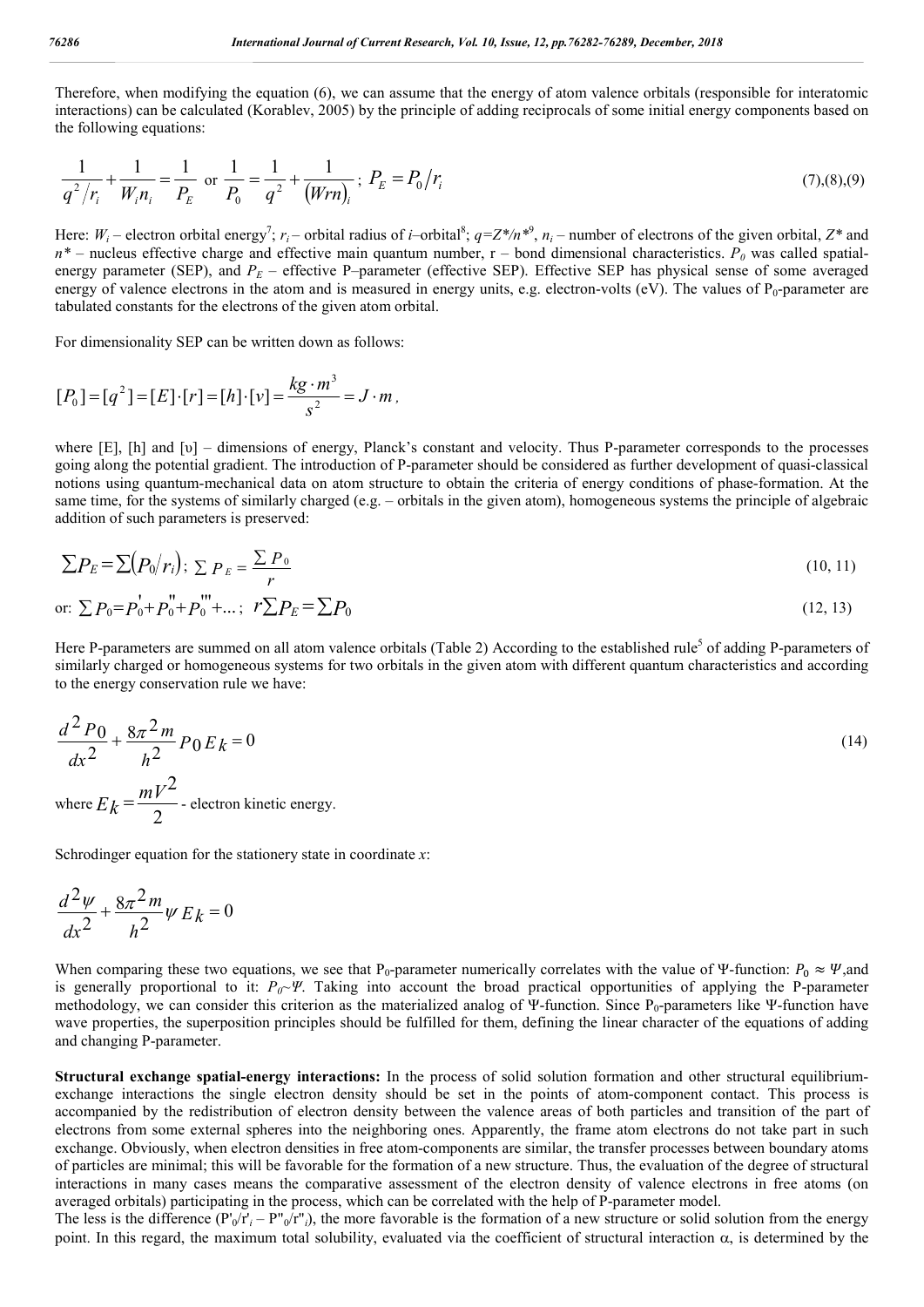Therefore, when modifying the equation (6), we can assume that the energy of atom valence orbitals (responsible for interatomic interactions) can be calculated (Korablev, 2005) by the principle of adding reciprocals of some initial energy components based on the following equations:

$$
\frac{1}{q^2/r_i} + \frac{1}{W_i n_i} = \frac{1}{P_E} \text{ or } \frac{1}{P_0} = \frac{1}{q^2} + \frac{1}{(Wrn_i)}; \ P_E = P_0/r_i \tag{7}, (8), (9)
$$

Here:  $W_i$  – electron orbital energy<sup>7</sup>;  $r_i$  – orbital radius of *i*–orbital<sup>8</sup>;  $q=Z^*/n^{*9}$ ,  $n_i$  – number of electrons of the given orbital,  $Z^*$  and  $n^*$  – nucleus effective charge and effective main quantum number,  $r$  – bond dimensional characteristics.  $P_0$  was called spatialenergy parameter (SEP), and  $P_E$  – effective P–parameter (effective SEP). Effective SEP has physical sense of some averaged energy of valence electrons in the atom and is measured in energy units, e.g. electron-volts (eV). The values of P<sub>0</sub>-parameter are tabulated constants for the electrons of the given atom orbital.

For dimensionality SEP can be written down as follows:

$$
[P_0] = [q^2] = [E] \cdot [r] = [h] \cdot [v] = \frac{kg \cdot m^3}{s^2} = J \cdot m \, ,
$$

where [E], [h] and [υ] – dimensions of energy, Planck's constant and velocity. Thus Р-parameter corresponds to the processes going along the potential gradient. The introduction of Р-parameter should be considered as further development of quasi-classical notions using quantum-mechanical data on atom structure to obtain the criteria of energy conditions of phase-formation. At the same time, for the systems of similarly charged (e.g. – orbitals in the given atom), homogeneous systems the principle of algebraic addition of such parameters is preserved:

$$
\sum P_E = \sum (P_0/r_i); \sum P_E = \frac{\sum P_0}{r}
$$
\n(10, 11)

or: 
$$
\sum P_0 = P_0^{\dagger} + P_0^{\dagger} + P_0^{\dagger} + \dots
$$
;  $r \sum P_E = \sum P_0$  (12, 13)

Here P-parameters are summed on all atom valence orbitals (Table 2) According to the established rule<sup>5</sup> of adding P-parameters of similarly charged or homogeneous systems for two orbitals in the given atom with different quantum characteristics and according to the energy conservation rule we have:

$$
\frac{d^2 P_0}{dx^2} + \frac{8\pi^2 m}{h^2} P_0 E_k = 0
$$
\n
$$
\text{where } E_k = \frac{mV^2}{2} \text{ - electron kinetic energy.}
$$
\n(14)

Schrodinger equation for the stationery state in coordinate *х*:

$$
\frac{d^2\psi}{dx^2} + \frac{8\pi^2 m}{h^2}\psi E_k = 0
$$

When comparing these two equations, we see that P<sub>0</sub>-parameter numerically correlates with the value of Ψ-function:  $P_0 \approx \Psi$ ,and is generally proportional to it: *P<sub>0</sub>~Ψ*. Taking into account the broad practical opportunities of applying the P-parameter methodology, we can consider this criterion as the materialized analog of Ψ-function. Since  $P_0$ -parameters like Ψ-function have wave properties, the superposition principles should be fulfilled for them, defining the linear character of the equations of adding and changing P-parameter.

**Structural exchange spatial-energy interactions:** In the process of solid solution formation and other structural equilibriumexchange interactions the single electron density should be set in the points of atom-component contact. This process is accompanied by the redistribution of electron density between the valence areas of both particles and transition of the part of electrons from some external spheres into the neighboring ones. Apparently, the frame atom electrons do not take part in such exchange. Obviously, when electron densities in free atom-components are similar, the transfer processes between boundary atoms of particles are minimal; this will be favorable for the formation of a new structure. Thus, the evaluation of the degree of structural interactions in many cases means the comparative assessment of the electron density of valence electrons in free atoms (on averaged orbitals) participating in the process, which can be correlated with the help of P-parameter model.

The less is the difference  $(P'_0/r'_i - P''_0/r'_i)$ , the more favorable is the formation of a new structure or solid solution from the energy point. In this regard, the maximum total solubility, evaluated via the coefficient of structural interaction  $\alpha$ , is determined by the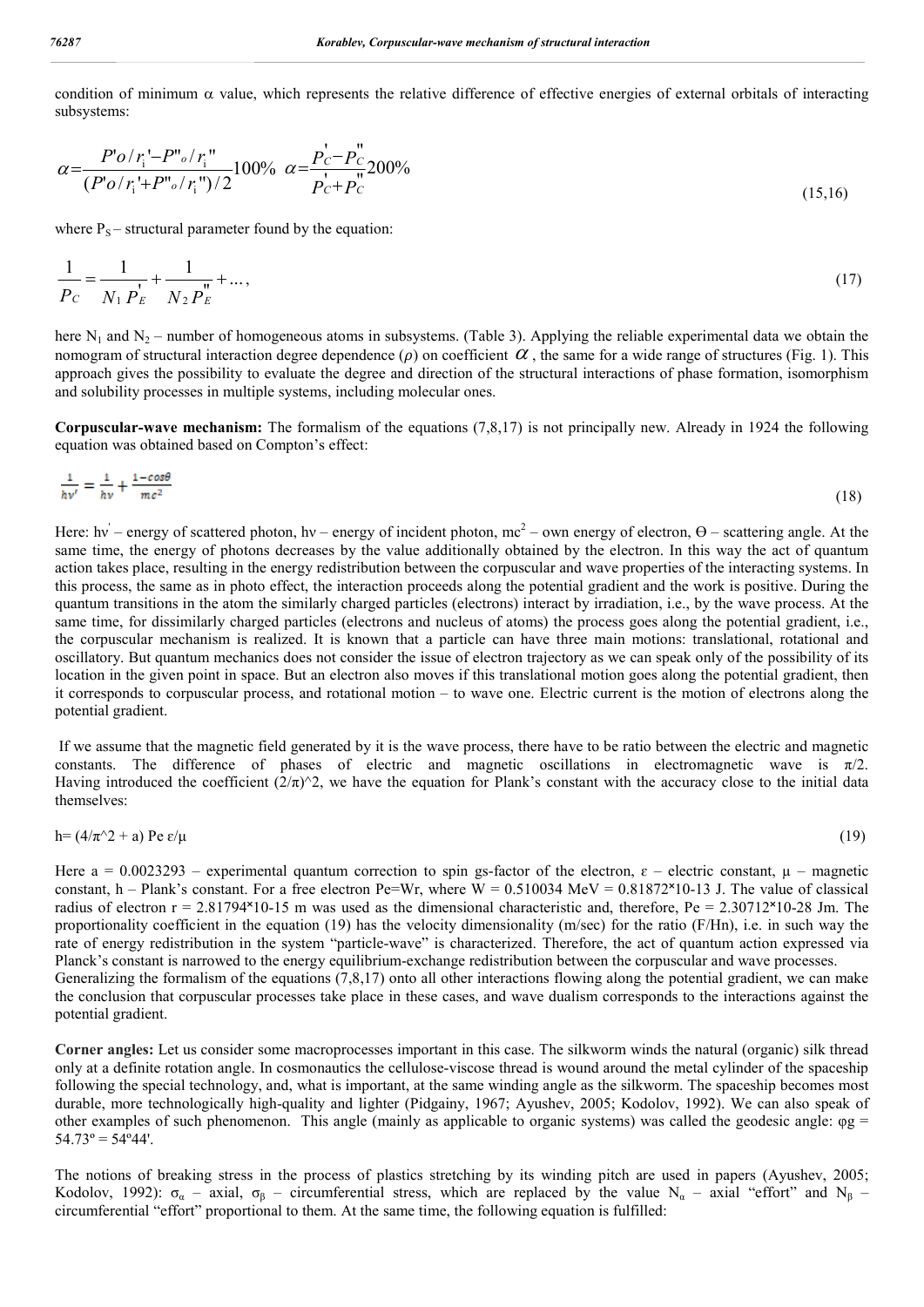condition of minimum  $\alpha$  value, which represents the relative difference of effective energies of external orbitals of interacting subsystems:

$$
\alpha = \frac{P' o / r_i' - P'' o / r_i''}{(P' o / r_i' + P'' o / r_i'') / 2} 100\% \quad \alpha = \frac{P_c' - P_c''}{P_c' + P_c'} 200\% \tag{15.16}
$$

where  $P_s$  – structural parameter found by the equation:

$$
\frac{1}{P_C} = \frac{1}{N_1 P_E} + \frac{1}{N_2 P_E} + \dots,\tag{17}
$$

here  $N_1$  and  $N_2$  – number of homogeneous atoms in subsystems. (Table 3). Applying the reliable experimental data we obtain the nomogram of structural interaction degree dependence ( $\rho$ ) on coefficient  $\alpha$ , the same for a wide range of structures (Fig. 1). This approach gives the possibility to evaluate the degree and direction of the structural interactions of phase formation, isomorphism and solubility processes in multiple systems, including molecular ones.

**Corpuscular-wave mechanism:** The formalism of the equations (7,8,17) is not principally new. Already in 1924 the following equation was obtained based on Compton's effect:

$$
\frac{1}{hv'} = \frac{1}{hv} + \frac{1 - \cos\theta}{mc^2} \tag{18}
$$

Here: hv – energy of scattered photon, hv – energy of incident photon, mc<sup>2</sup> – own energy of electron,  $\Theta$  – scattering angle. At the same time, the energy of photons decreases by the value additionally obtained by the electron. In this way the act of quantum action takes place, resulting in the energy redistribution between the corpuscular and wave properties of the interacting systems. In this process, the same as in photo effect, the interaction proceeds along the potential gradient and the work is positive. During the quantum transitions in the atom the similarly charged particles (electrons) interact by irradiation, i.e., by the wave process. At the same time, for dissimilarly charged particles (electrons and nucleus of atoms) the process goes along the potential gradient, i.e., the corpuscular mechanism is realized. It is known that a particle can have three main motions: translational, rotational and oscillatory. But quantum mechanics does not consider the issue of electron trajectory as we can speak only of the possibility of its location in the given point in space. But an electron also moves if this translational motion goes along the potential gradient, then it corresponds to corpuscular process, and rotational motion – to wave one. Electric current is the motion of electrons along the potential gradient.

If we assume that the magnetic field generated by it is the wave process, there have to be ratio between the electric and magnetic constants. The difference of phases of electric and magnetic oscillations in electromagnetic wave is  $\pi/2$ . Having introduced the coefficient  $(2/\pi)^2$ , we have the equation for Plank's constant with the accuracy close to the initial data themselves:

$$
h = (4/\pi^2 + a) Pe \varepsilon/\mu \tag{19}
$$

Here  $a = 0.0023293$  – experimental quantum correction to spin gs-factor of the electron,  $\varepsilon$  – electric constant,  $\mu$  – magnetic constant, h – Plank's constant. For a free electron Pe=Wr, where  $W = 0.510034 \text{ MeV} = 0.81872 \times 10^{-13} \text{ J}$ . The value of classical radius of electron  $r = 2.81794 \times 10^{-15}$  m was used as the dimensional characteristic and, therefore, Pe = 2.30712 $\times$ 10-28 Jm. The proportionality coefficient in the equation (19) has the velocity dimensionality (m/sec) for the ratio (F/Hn), i.e. in such way the rate of energy redistribution in the system "particle-wave" is characterized. Therefore, the act of quantum action expressed via Planck's constant is narrowed to the energy equilibrium-exchange redistribution between the corpuscular and wave processes. Generalizing the formalism of the equations (7,8,17) onto all other interactions flowing along the potential gradient, we can make the conclusion that corpuscular processes take place in these cases, and wave dualism corresponds to the interactions against the potential gradient.

**Corner angles:** Let us consider some macroprocesses important in this case. The silkworm winds the natural (organic) silk thread only at a definite rotation angle. In cosmonautics the cellulose-viscose thread is wound around the metal cylinder of the spaceship following the special technology, and, what is important, at the same winding angle as the silkworm. The spaceship becomes most durable, more technologically high-quality and lighter (Pidgainy, 1967; Ayushev, 2005; Kodolov, 1992). We can also speak of other examples of such phenomenon. This angle (mainly as applicable to organic systems) was called the geodesic angle:  $\varphi g$  =  $54.73^\circ = 54^\circ 44'.$ 

The notions of breaking stress in the process of plastics stretching by its winding pitch are used in papers (Ayushev, 2005; Kodolov, 1992):  $\sigma_{\alpha}$  – axial,  $\sigma_{\beta}$  – circumferential stress, which are replaced by the value N<sub>α</sub> – axial "effort" and N<sub>β</sub> – circumferential "effort" proportional to them. At the same time, the following equation is fulfilled: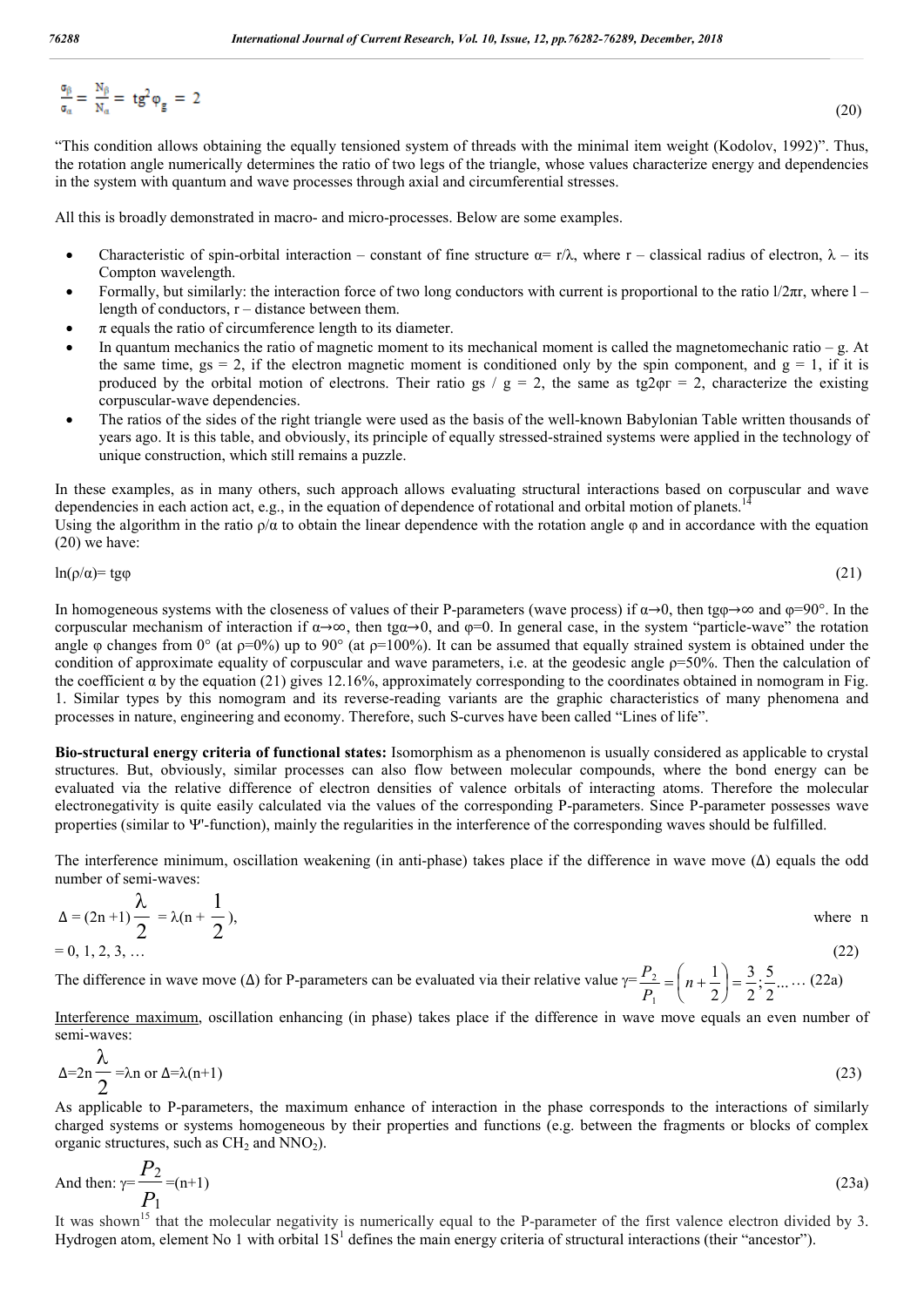(20)

$$
\frac{\sigma_{\beta}}{\sigma_{\alpha}} = \frac{N_{\beta}}{N_{\alpha}} = t g^2 \phi_{g} = 2
$$

"This condition allows obtaining the equally tensioned system of threads with the minimal item weight (Kodolov, 1992)". Thus, the rotation angle numerically determines the ratio of two legs of the triangle, whose values characterize energy and dependencies in the system with quantum and wave processes through axial and circumferential stresses.

All this is broadly demonstrated in macro- and micro-processes. Below are some examples.

- Characteristic of spin-orbital interaction constant of fine structure  $\alpha = r/\lambda$ , where r classical radius of electron,  $\lambda$  its Compton wavelength.
- Formally, but similarly: the interaction force of two long conductors with current is proportional to the ratio l/2πr, where l length of conductors,  $r -$  distance between them.
- $\pi$  equals the ratio of circumference length to its diameter.
- In quantum mechanics the ratio of magnetic moment to its mechanical moment is called the magnetomechanic ratio g. At the same time,  $gs = 2$ , if the electron magnetic moment is conditioned only by the spin component, and  $g = 1$ , if it is produced by the orbital motion of electrons. Their ratio gs /  $g = 2$ , the same as tg2 $\varphi$ r = 2, characterize the existing corpuscular-wave dependencies.
- The ratios of the sides of the right triangle were used as the basis of the well-known Babylonian Table written thousands of years ago. It is this table, and obviously, its principle of equally stressed-strained systems were applied in the technology of unique construction, which still remains a puzzle.

In these examples, as in many others, such approach allows evaluating structural interactions based on corpuscular and wave dependencies in each action act, e.g., in the equation of dependence of rotational and orbital motion of planets. Using the algorithm in the ratio  $\rho/\alpha$  to obtain the linear dependence with the rotation angle  $\varphi$  and in accordance with the equation

(20) we have:

$$
\ln(\rho/\alpha) = \text{tg}\varphi \tag{21}
$$

In homogeneous systems with the closeness of values of their P-parameters (wave process) if  $\alpha \rightarrow 0$ , then tg $\varphi \rightarrow \infty$  and  $\varphi = 90^\circ$ . In the corpuscular mechanism of interaction if  $\alpha \rightarrow \infty$ , then tg $\alpha \rightarrow 0$ , and  $\varphi = 0$ . In general case, in the system "particle-wave" the rotation angle φ changes from  $0^{\circ}$  (at  $p=0\%$ ) up to  $90^{\circ}$  (at  $p=100\%$ ). It can be assumed that equally strained system is obtained under the condition of approximate equality of corpuscular and wave parameters, i.e. at the geodesic angle  $p=50%$ . Then the calculation of the coefficient  $\alpha$  by the equation (21) gives 12.16%, approximately corresponding to the coordinates obtained in nomogram in Fig. 1. Similar types by this nomogram and its reverse-reading variants are the graphic characteristics of many phenomena and processes in nature, engineering and economy. Therefore, such S-curves have been called "Lines of life".

**Bio-structural energy criteria of functional states:** Isomorphism as a phenomenon is usually considered as applicable to crystal structures. But, obviously, similar processes can also flow between molecular compounds, where the bond energy can be evaluated via the relative difference of electron densities of valence orbitals of interacting atoms. Therefore the molecular electronegativity is quite easily calculated via the values of the corresponding P-parameters. Since Р-parameter possesses wave properties (similar to  $\Psi'$ -function), mainly the regularities in the interference of the corresponding waves should be fulfilled.

The interference minimum, oscillation weakening (in anti-phase) takes place if the difference in wave move  $(\Delta)$  equals the odd number of semi-waves:

$$
\Delta = (2n+1)\frac{\lambda}{2} = \lambda(n+\frac{1}{2}),
$$
 where n  
= 0, 1, 2, 3, ... (22)

The difference in wave move ( $\Delta$ ) for P-parameters can be evaluated via their relative value  $\gamma = \frac{1}{2}$  =  $\left| n + \frac{1}{2} \right| = \frac{3}{2}$ . 2  $\frac{5}{1}$ 2 3 2 1 1  $\frac{2}{2}$  =  $\left| n+\frac{1}{2} \right|$  =  $\bigg)$  $\left(n+\frac{1}{2}\right)$  $\overline{\phantom{0}}$  $=\left(n+\right)$ *Р*  $\frac{P_2}{P_1} = \left( n + \frac{1}{n} \right) = \frac{3}{2} \cdot \frac{5}{2}$  ... (22a)

Interference maximum, oscillation enhancing (in phase) takes place if the difference in wave move equals an even number of semi-waves:

$$
\Delta = 2n \frac{\lambda}{2} = \lambda n \text{ or } \Delta = \lambda (n+1)
$$
\n(23)

As applicable to P-parameters, the maximum enhance of interaction in the phase corresponds to the interactions of similarly charged systems or systems homogeneous by their properties and functions (e.g. between the fragments or blocks of complex organic structures, such as  $CH<sub>2</sub>$  and NNO<sub>2</sub>).

And then: 
$$
\gamma = \frac{P_2}{P_1} = (n+1)
$$
 (23a)

It was shown<sup>15</sup> that the molecular negativity is numerically equal to the P-parameter of the first valence electron divided by 3. Hydrogen atom, element No 1 with orbital  $1S<sup>1</sup>$  defines the main energy criteria of structural interactions (their "ancestor").